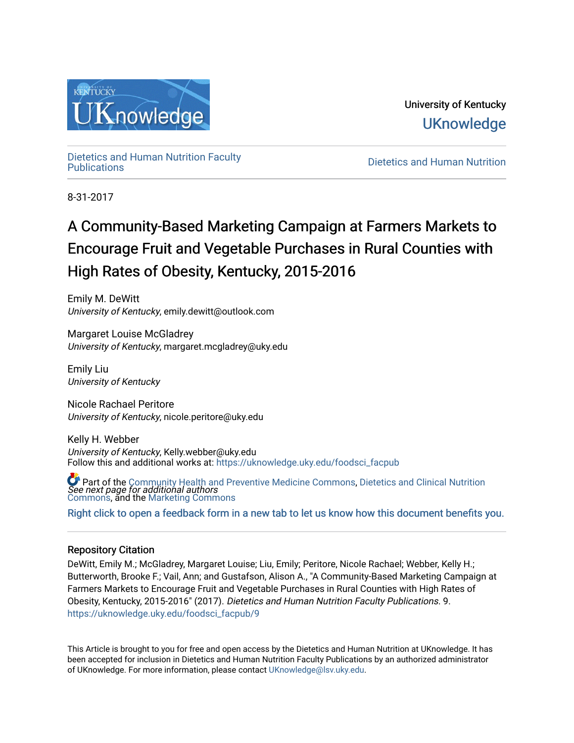

University of Kentucky **UKnowledge** 

[Dietetics and Human Nutrition Faculty](https://uknowledge.uky.edu/foodsci_facpub)

**Dietetics and Human Nutrition** 

8-31-2017

# A Community-Based Marketing Campaign at Farmers Markets to Encourage Fruit and Vegetable Purchases in Rural Counties with High Rates of Obesity, Kentucky, 2015-2016

Emily M. DeWitt University of Kentucky, emily.dewitt@outlook.com

Margaret Louise McGladrey University of Kentucky, margaret.mcgladrey@uky.edu

Emily Liu University of Kentucky

Nicole Rachael Peritore University of Kentucky, nicole.peritore@uky.edu

Kelly H. Webber University of Kentucky, Kelly.webber@uky.edu Follow this and additional works at: [https://uknowledge.uky.edu/foodsci\\_facpub](https://uknowledge.uky.edu/foodsci_facpub?utm_source=uknowledge.uky.edu%2Ffoodsci_facpub%2F9&utm_medium=PDF&utm_campaign=PDFCoverPages)

See next page for additional authors Part of the [Community Health and Preventive Medicine Commons](http://network.bepress.com/hgg/discipline/744?utm_source=uknowledge.uky.edu%2Ffoodsci_facpub%2F9&utm_medium=PDF&utm_campaign=PDFCoverPages), [Dietetics and Clinical Nutrition](http://network.bepress.com/hgg/discipline/662?utm_source=uknowledge.uky.edu%2Ffoodsci_facpub%2F9&utm_medium=PDF&utm_campaign=PDFCoverPages)  [Commons](http://network.bepress.com/hgg/discipline/662?utm_source=uknowledge.uky.edu%2Ffoodsci_facpub%2F9&utm_medium=PDF&utm_campaign=PDFCoverPages), and the [Marketing Commons](http://network.bepress.com/hgg/discipline/638?utm_source=uknowledge.uky.edu%2Ffoodsci_facpub%2F9&utm_medium=PDF&utm_campaign=PDFCoverPages)

[Right click to open a feedback form in a new tab to let us know how this document benefits you.](https://uky.az1.qualtrics.com/jfe/form/SV_9mq8fx2GnONRfz7)

#### Repository Citation

DeWitt, Emily M.; McGladrey, Margaret Louise; Liu, Emily; Peritore, Nicole Rachael; Webber, Kelly H.; Butterworth, Brooke F.; Vail, Ann; and Gustafson, Alison A., "A Community-Based Marketing Campaign at Farmers Markets to Encourage Fruit and Vegetable Purchases in Rural Counties with High Rates of Obesity, Kentucky, 2015-2016" (2017). Dietetics and Human Nutrition Faculty Publications. 9. [https://uknowledge.uky.edu/foodsci\\_facpub/9](https://uknowledge.uky.edu/foodsci_facpub/9?utm_source=uknowledge.uky.edu%2Ffoodsci_facpub%2F9&utm_medium=PDF&utm_campaign=PDFCoverPages) 

This Article is brought to you for free and open access by the Dietetics and Human Nutrition at UKnowledge. It has been accepted for inclusion in Dietetics and Human Nutrition Faculty Publications by an authorized administrator of UKnowledge. For more information, please contact [UKnowledge@lsv.uky.edu.](mailto:UKnowledge@lsv.uky.edu)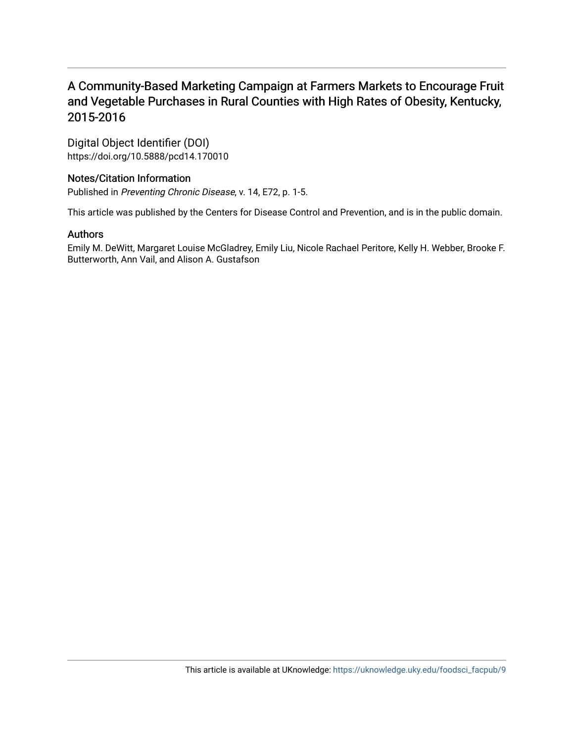#### A Community-Based Marketing Campaign at Farmers Markets to Encourage Fruit and Vegetable Purchases in Rural Counties with High Rates of Obesity, Kentucky, 2015-2016

Digital Object Identifier (DOI) https://doi.org/10.5888/pcd14.170010

#### Notes/Citation Information

Published in Preventing Chronic Disease, v. 14, E72, p. 1-5.

This article was published by the Centers for Disease Control and Prevention, and is in the public domain.

#### Authors

Emily M. DeWitt, Margaret Louise McGladrey, Emily Liu, Nicole Rachael Peritore, Kelly H. Webber, Brooke F. Butterworth, Ann Vail, and Alison A. Gustafson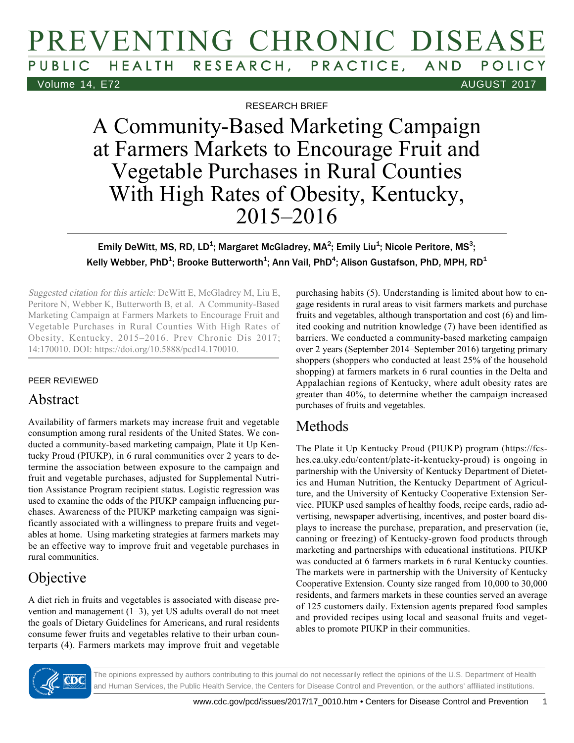# PREVENTING CHRONIC DISEASE PRACTICE, AND POLICY Volume 14, E72 AUGUST 2017

RESEARCH BRIEF

A Community-Based Marketing Campaign at Farmers Markets to Encourage Fruit and Vegetable Purchases in Rural Counties With High Rates of Obesity, Kentucky, 2015–2016

Emily DeWitt, MS, RD, LD<sup>1</sup>; Margaret McGladrey, MA<sup>2</sup>; Emily Liu<sup>1</sup>; Nicole Peritore, MS<sup>3</sup>; Kelly Webber, PhD $^1$ ; Brooke Butterworth $^1$ ; Ann Vail, PhD $^4$ ; Alison Gustafson, PhD, MPH, RD $^1$ 

Suggested citation for this article: DeWitt E, McGladrey M, Liu E, Peritore N, Webber K, Butterworth B, et al. A Community-Based Marketing Campaign at Farmers Markets to Encourage Fruit and Vegetable Purchases in Rural Counties With High Rates of Obesity, Kentucky, 2015–2016. Prev Chronic Dis 2017; 14:170010. DOI: https://doi.org/10.5888/pcd14.170010.

#### PEER REVIEWED

#### Abstract

Availability of farmers markets may increase fruit and vegetable consumption among rural residents of the United States. We conducted a community-based marketing campaign, Plate it Up Kentucky Proud (PIUKP), in 6 rural communities over 2 years to determine the association between exposure to the campaign and fruit and vegetable purchases, adjusted for Supplemental Nutrition Assistance Program recipient status. Logistic regression was used to examine the odds of the PIUKP campaign influencing purchases. Awareness of the PIUKP marketing campaign was significantly associated with a willingness to prepare fruits and vegetables at home. Using marketing strategies at farmers markets may be an effective way to improve fruit and vegetable purchases in rural communities.

## **Objective**

A diet rich in fruits and vegetables is associated with disease prevention and management  $(1-3)$ , yet US adults overall do not meet the goals of Dietary Guidelines for Americans, and rural residents consume fewer fruits and vegetables relative to their urban counterparts (4). Farmers markets may improve fruit and vegetable

purchasing habits (5). Understanding is limited about how to engage residents in rural areas to visit farmers markets and purchase fruits and vegetables, although transportation and cost (6) and limited cooking and nutrition knowledge (7) have been identified as barriers. We conducted a community-based marketing campaign over 2 years (September 2014–September 2016) targeting primary shoppers (shoppers who conducted at least 25% of the household shopping) at farmers markets in 6 rural counties in the Delta and Appalachian regions of Kentucky, where adult obesity rates are greater than 40%, to determine whether the campaign increased purchases of fruits and vegetables.

## Methods

The Plate it Up Kentucky Proud (PIUKP) program (https://fcshes.ca.uky.edu/content/plate-it-kentucky-proud) is ongoing in partnership with the University of Kentucky Department of Dietetics and Human Nutrition, the Kentucky Department of Agriculture, and the University of Kentucky Cooperative Extension Service. PIUKP used samples of healthy foods, recipe cards, radio advertising, newspaper advertising, incentives, and poster board displays to increase the purchase, preparation, and preservation (ie, canning or freezing) of Kentucky-grown food products through marketing and partnerships with educational institutions. PIUKP was conducted at 6 farmers markets in 6 rural Kentucky counties. The markets were in partnership with the University of Kentucky Cooperative Extension. County size ranged from 10,000 to 30,000 residents, and farmers markets in these counties served an average of 125 customers daily. Extension agents prepared food samples and provided recipes using local and seasonal fruits and vegetables to promote PIUKP in their communities.

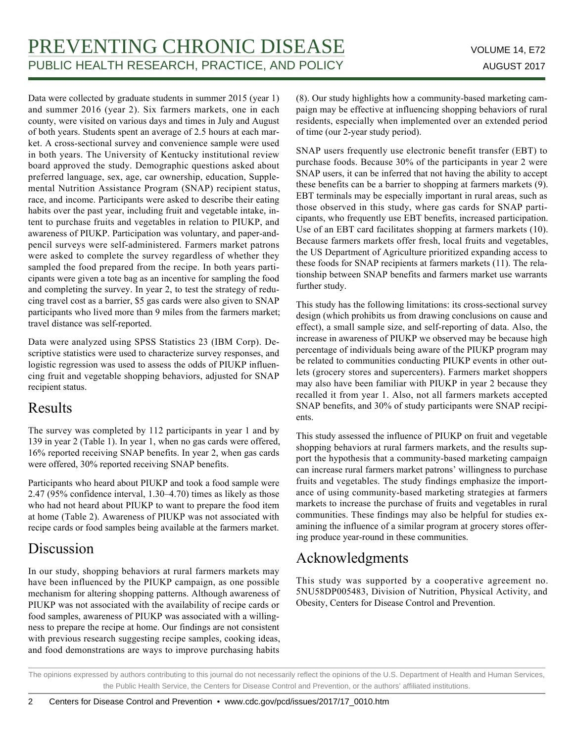Data were collected by graduate students in summer 2015 (year 1) and summer 2016 (year 2). Six farmers markets, one in each county, were visited on various days and times in July and August of both years. Students spent an average of 2.5 hours at each market. A cross-sectional survey and convenience sample were used in both years. The University of Kentucky institutional review board approved the study. Demographic questions asked about preferred language, sex, age, car ownership, education, Supplemental Nutrition Assistance Program (SNAP) recipient status, race, and income. Participants were asked to describe their eating habits over the past year, including fruit and vegetable intake, intent to purchase fruits and vegetables in relation to PIUKP, and awareness of PIUKP. Participation was voluntary, and paper-andpencil surveys were self-administered. Farmers market patrons were asked to complete the survey regardless of whether they sampled the food prepared from the recipe. In both years participants were given a tote bag as an incentive for sampling the food and completing the survey. In year 2, to test the strategy of reducing travel cost as a barrier, \$5 gas cards were also given to SNAP participants who lived more than 9 miles from the farmers market; travel distance was self-reported.

Data were analyzed using SPSS Statistics 23 (IBM Corp). Descriptive statistics were used to characterize survey responses, and logistic regression was used to assess the odds of PIUKP influencing fruit and vegetable shopping behaviors, adjusted for SNAP recipient status.

## Results

The survey was completed by 112 participants in year 1 and by 139 in year 2 (Table 1). In year 1, when no gas cards were offered, 16% reported receiving SNAP benefits. In year 2, when gas cards were offered, 30% reported receiving SNAP benefits.

Participants who heard about PIUKP and took a food sample were 2.47 (95% confidence interval, 1.30–4.70) times as likely as those who had not heard about PIUKP to want to prepare the food item at home (Table 2). Awareness of PIUKP was not associated with recipe cards or food samples being available at the farmers market.

# Discussion

In our study, shopping behaviors at rural farmers markets may have been influenced by the PIUKP campaign, as one possible mechanism for altering shopping patterns. Although awareness of PIUKP was not associated with the availability of recipe cards or food samples, awareness of PIUKP was associated with a willingness to prepare the recipe at home. Our findings are not consistent with previous research suggesting recipe samples, cooking ideas, and food demonstrations are ways to improve purchasing habits

(8). Our study highlights how a community-based marketing campaign may be effective at influencing shopping behaviors of rural residents, especially when implemented over an extended period of time (our 2-year study period).

SNAP users frequently use electronic benefit transfer (EBT) to purchase foods. Because 30% of the participants in year 2 were SNAP users, it can be inferred that not having the ability to accept these benefits can be a barrier to shopping at farmers markets (9). EBT terminals may be especially important in rural areas, such as those observed in this study, where gas cards for SNAP participants, who frequently use EBT benefits, increased participation. Use of an EBT card facilitates shopping at farmers markets (10). Because farmers markets offer fresh, local fruits and vegetables, the US Department of Agriculture prioritized expanding access to these foods for SNAP recipients at farmers markets (11). The relationship between SNAP benefits and farmers market use warrants further study.

This study has the following limitations: its cross-sectional survey design (which prohibits us from drawing conclusions on cause and effect), a small sample size, and self-reporting of data. Also, the increase in awareness of PIUKP we observed may be because high percentage of individuals being aware of the PIUKP program may be related to communities conducting PIUKP events in other outlets (grocery stores and supercenters). Farmers market shoppers may also have been familiar with PIUKP in year 2 because they recalled it from year 1. Also, not all farmers markets accepted SNAP benefits, and 30% of study participants were SNAP recipients.

This study assessed the influence of PIUKP on fruit and vegetable shopping behaviors at rural farmers markets, and the results support the hypothesis that a community-based marketing campaign can increase rural farmers market patrons' willingness to purchase fruits and vegetables. The study findings emphasize the importance of using community-based marketing strategies at farmers markets to increase the purchase of fruits and vegetables in rural communities. These findings may also be helpful for studies examining the influence of a similar program at grocery stores offering produce year-round in these communities.

# Acknowledgments

This study was supported by a cooperative agreement no. 5NU58DP005483, Division of Nutrition, Physical Activity, and Obesity, Centers for Disease Control and Prevention.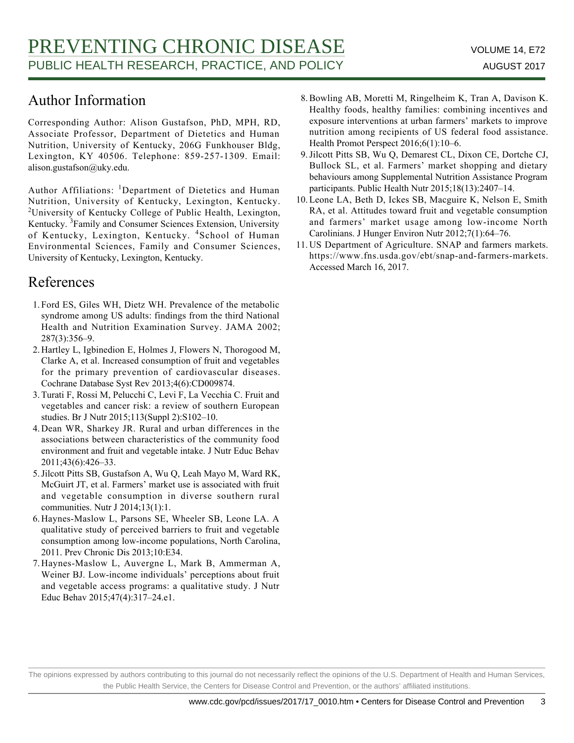### Author Information

Corresponding Author: Alison Gustafson, PhD, MPH, RD, Associate Professor, Department of Dietetics and Human Nutrition, University of Kentucky, 206G Funkhouser Bldg, Lexington, KY 40506. Telephone: 859-257-1309. Email: alison.gustafson@uky.edu.

Author Affiliations: <sup>1</sup>Department of Dietetics and Human Nutrition, University of Kentucky, Lexington, Kentucky. <sup>2</sup>University of Kentucky College of Public Health, Lexington, Kentucky. <sup>3</sup>Family and Consumer Sciences Extension, University of Kentucky, Lexington, Kentucky. <sup>4</sup>School of Human Environmental Sciences, Family and Consumer Sciences, University of Kentucky, Lexington, Kentucky.

### References

- 1. Ford ES, Giles WH, Dietz WH. Prevalence of the metabolic syndrome among US adults: findings from the third National Health and Nutrition Examination Survey. JAMA 2002; 287(3):356–9.
- 2. Hartley L, Igbinedion E, Holmes J, Flowers N, Thorogood M, Clarke A, et al. Increased consumption of fruit and vegetables for the primary prevention of cardiovascular diseases. Cochrane Database Syst Rev 2013;4(6):CD009874.
- 3. Turati F, Rossi M, Pelucchi C, Levi F, La Vecchia C. Fruit and vegetables and cancer risk: a review of southern European studies. Br J Nutr 2015;113(Suppl 2):S102–10.
- 4. Dean WR, Sharkey JR. Rural and urban differences in the associations between characteristics of the community food environment and fruit and vegetable intake. J Nutr Educ Behav 2011;43(6):426–33.
- 5. Jilcott Pitts SB, Gustafson A, Wu Q, Leah Mayo M, Ward RK, McGuirt JT, et al. Farmers' market use is associated with fruit and vegetable consumption in diverse southern rural communities. Nutr J 2014;13(1):1.
- 6. Haynes-Maslow L, Parsons SE, Wheeler SB, Leone LA. A qualitative study of perceived barriers to fruit and vegetable consumption among low-income populations, North Carolina, 2011. Prev Chronic Dis 2013;10:E34.
- 7. Haynes-Maslow L, Auvergne L, Mark B, Ammerman A, Weiner BJ. Low-income individuals' perceptions about fruit and vegetable access programs: a qualitative study. J Nutr Educ Behav 2015;47(4):317–24.e1.
- 8. Bowling AB, Moretti M, Ringelheim K, Tran A, Davison K. Healthy foods, healthy families: combining incentives and exposure interventions at urban farmers' markets to improve nutrition among recipients of US federal food assistance. Health Promot Perspect 2016;6(1):10–6.
- 9. Jilcott Pitts SB, Wu Q, Demarest CL, Dixon CE, Dortche CJ, Bullock SL, et al. Farmers' market shopping and dietary behaviours among Supplemental Nutrition Assistance Program participants. Public Health Nutr 2015;18(13):2407–14.
- 10. Leone LA, Beth D, Ickes SB, Macguire K, Nelson E, Smith RA, et al. Attitudes toward fruit and vegetable consumption and farmers' market usage among low-income North Carolinians. J Hunger Environ Nutr 2012;7(1):64–76.
- 11. US Department of Agriculture. SNAP and farmers markets. https://www.fns.usda.gov/ebt/snap-and-farmers-markets. Accessed March 16, 2017.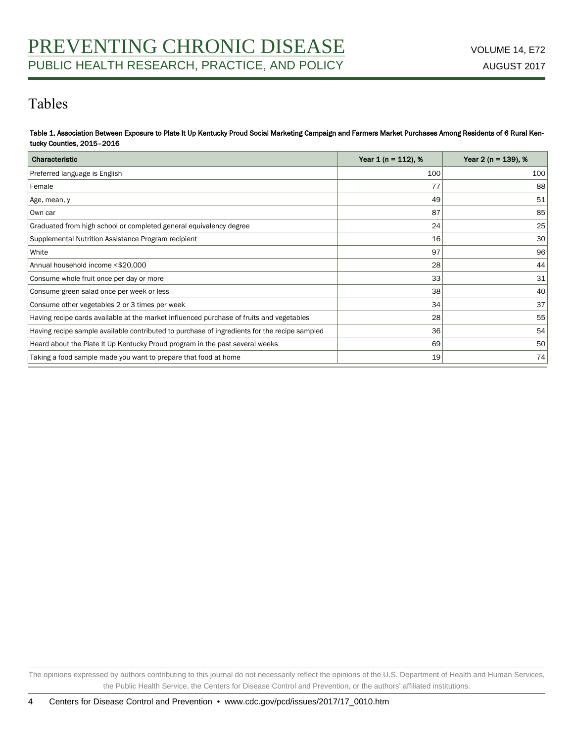# Tables

#### Table 1. Association Between Exposure to Plate It Up Kentucky Proud Social Marketing Campaign and Farmers Market Purchases Among Residents of 6 Rural Kentucky Counties, 2015–2016

| Characteristic                                                                               | Year $1$ (n = 112), % | Year 2 (n = $139$ ), % |
|----------------------------------------------------------------------------------------------|-----------------------|------------------------|
| Preferred language is English                                                                | 100                   | 100                    |
| Female                                                                                       | 77                    | 88                     |
| Age, mean, y                                                                                 | 49                    | 51                     |
| Own car                                                                                      | 87                    | 85                     |
| Graduated from high school or completed general equivalency degree                           | 24                    | 25                     |
| Supplemental Nutrition Assistance Program recipient                                          | 16                    | 30                     |
| White                                                                                        | 97                    | 96                     |
| Annual household income <\$20,000                                                            | 28                    | 44                     |
| Consume whole fruit once per day or more                                                     | 33                    | 31                     |
| Consume green salad once per week or less                                                    | 38                    | 40                     |
| Consume other vegetables 2 or 3 times per week                                               | 34                    | 37                     |
| Having recipe cards available at the market influenced purchase of fruits and vegetables     | 28                    | 55                     |
| Having recipe sample available contributed to purchase of ingredients for the recipe sampled | 36                    | 54                     |
| Heard about the Plate It Up Kentucky Proud program in the past several weeks                 | 69                    | 50                     |
| Taking a food sample made you want to prepare that food at home                              | 19                    | 74                     |